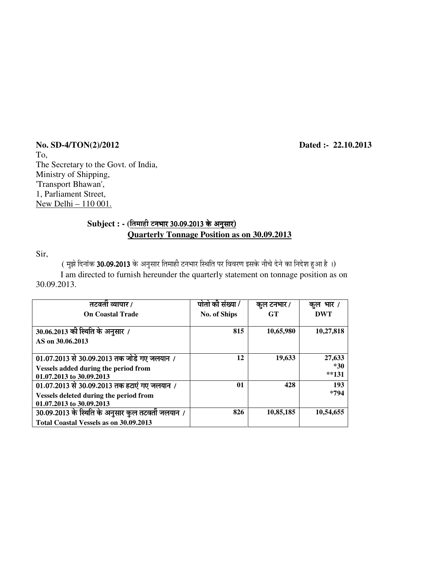**No. SD-4/TON(2)/2012 Dated :- 22.10.2013**  To, The Secretary to the Govt. of India, Ministry of Shipping, 'Transport Bhawan', 1, Parliament Street, New Delhi – 110 001.

#### Subject : - (तिमाही टनभार 30.09.2013 के अनुसार)  **Quarterly Tonnage Position as on 30.09.2013**

Sir,

 $($  मुझे दिनांक 30.09.2013 के अनुसार तिमाही टनभार स्थिति पर विवरण इसके नीचे देने का निदेश हुआ है ।)

 I am directed to furnish hereunder the quarterly statement on tonnage position as on 30.09.2013.

| तटवती व्यापार /                                    | पोतो की संख्या / | कुल टनभार / | कल भार /  |
|----------------------------------------------------|------------------|-------------|-----------|
| <b>On Coastal Trade</b>                            | No. of Ships     | <b>GT</b>   | DWT       |
|                                                    |                  |             |           |
| 30.06.2013 की स्थिति के अनुसार /                   | 815              | 10,65,980   | 10,27,818 |
| AS on 30.06.2013                                   |                  |             |           |
|                                                    |                  |             |           |
| $01.07.2013$ से 30.09.2013 तक जोडे गए जलयान /      | 12               | 19,633      | 27,633    |
| <b>Vessels added during the period from</b>        |                  |             | *30       |
| 01.07.2013 to 30.09.2013                           |                  |             | $*131$    |
| 01.07.2013 से 30.09.2013 तक हटाएं गए जलयान /       | 01               | 428         | 193       |
| Vessels deleted during the period from             |                  |             | *794      |
| 01.07.2013 to 30.09.2013                           |                  |             |           |
| 30.09.2013 के स्थिति के अनुसार कुल तटवर्ती जलयान / | 826              | 10,85,185   | 10,54,655 |
| Total Coastal Vessels as on 30.09.2013             |                  |             |           |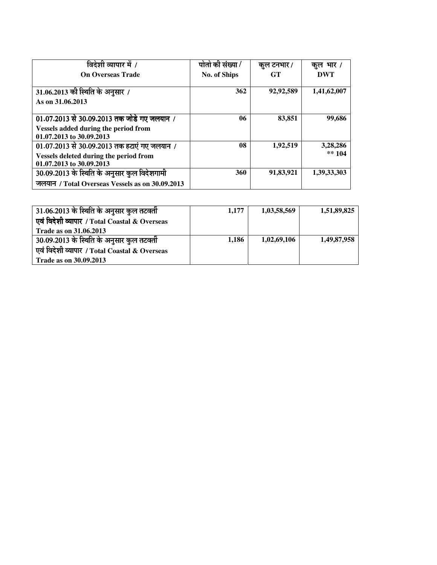| विदेशी व्यापार में /                                                                                                   | पोतो की संख्या / | कुल टनभार / | कूल भार /            |
|------------------------------------------------------------------------------------------------------------------------|------------------|-------------|----------------------|
| <b>On Overseas Trade</b>                                                                                               | No. of Ships     | <b>GT</b>   | DWT                  |
| 31.06.2013 की स्थिति के अनुसार /<br>As on 31,06,2013                                                                   | 362              | 92,92,589   | 1,41,62,007          |
| 01.07.2013 से 30.09.2013 तक जोडे गए जलयान /<br><b>Vessels added during the period from</b><br>01.07.2013 to 30.09.2013 | 06               | 83,851      | 99,686               |
| $01.07.2013$ से 30.09.2013 तक हटाएं गए जलयान /<br>Vessels deleted during the period from<br>01.07.2013 to 30.09.2013   | 08               | 1,92,519    | 3,28,286<br>$** 104$ |
| 30.09.2013 के स्थिति के अनुसार कुल विदेशगामी<br>जलयान / Total Overseas Vessels as on 30.09.2013                        | 360              | 91,83,921   | 1,39,33,303          |

| 31.06.2013 के स्थिति के अनुसार कुल तटवर्ती    | 1.177 | 1,03,58,569 | 1,51,89,825 |
|-----------------------------------------------|-------|-------------|-------------|
| एवं विदेशी व्यापार / Total Coastal & Overseas |       |             |             |
| <b>Trade as on 31.06.2013</b>                 |       |             |             |
| $30.09.2013$ के स्थिति के अनुसार कुल तटवती    | 1.186 | 1,02,69,106 | 1,49,87,958 |
| एवं विदेशी व्यापार / Total Coastal & Overseas |       |             |             |
| <b>Trade as on 30.09.2013</b>                 |       |             |             |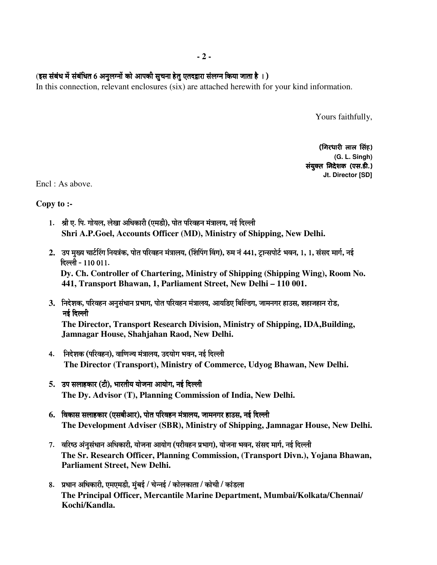#### (इस संबंध में संबंधित 6 अनुलग्नों को आपकी सुचना हेतु एतदद्वारा संलग्न किया जाता है ।)

In this connection, relevant enclosures (six) are attached herewith for your kind information.

Yours faithfully,

(गिरधारी लाल सिंह) **(G. L. Singh)**  संयुक्त निदेशक (एस.डी.) **Jt. Director [SD]**

Encl : As above.

**Copy to :-** 

- 1. श्री ए. पि. गोयल, लेखा अधिकारी (एमडी), पोत परिवहन मंत्रालय, नई दिल्ली  **Shri A.P.Goel, Accounts Officer (MD), Ministry of Shipping, New Delhi.**
- 2. उप मुख्य चार्टऐंग नियत्रंक, पोत परिवहन मंत्रालय, (शिपिंग विंग), रुम नं 441, टान्सपोर्ट भवन, 1, 1, संसद मार्ग, नई हिल्ली - 110 011.

 **Dy. Ch. Controller of Chartering, Ministry of Shipping (Shipping Wing), Room No. 441, Transport Bhawan, 1, Parliament Street, New Delhi – 110 001.** 

- 3. निदेशक, परिवहन अनसंधान प्रभाग, पोत परिवहन मंत्रालय, आयडिए बिल्डिंग, जामनगर हाउस, शहाजहान रोड, ®Ö‡Ô פü»»Öß ®Ö‡Ô פü»»Öß **The Director, Transport Research Division, Ministry of Shipping, IDA,Building, Jamnagar House, Shahjahan Raod, New Delhi.**
- 4. निदेशक (परिवहन), वाणिज्य मंत्रालय, उदयोग भवन, नई दिल्ली  **The Director (Transport), Ministry of Commerce, Udyog Bhawan, New Delhi.**
- 5. उप सलाहकार (टी), भारतीय योजना आयोग, नई दिल्ली  **The Dy. Advisor (T), Planning Commission of India, New Delhi.**
- $6.$  विकास सलाहकार (एसबीआर), पोत परिवहन मंत्रालय, जामनगर हाउस, नई दिल्ली  **The Development Adviser (SBR), Ministry of Shipping, Jamnagar House, New Delhi.**
- 7. वरिष्ठ अंनुसंधान अधिकारी, योजना आयोग (परीवहन प्रभाग), योजना भवन, संसद मार्ग, नई दिल्ली **The Sr. Research Officer, Planning Commission, (Transport Divn.), Yojana Bhawan, Parliament Street, New Delhi.**
- 8. प्रधान अधिकारी, एमएमडी, मुंबई / चेन्नई / कोलकाता / कोची / कांडला **The Principal Officer, Mercantile Marine Department, Mumbai/Kolkata/Chennai/ Kochi/Kandla.**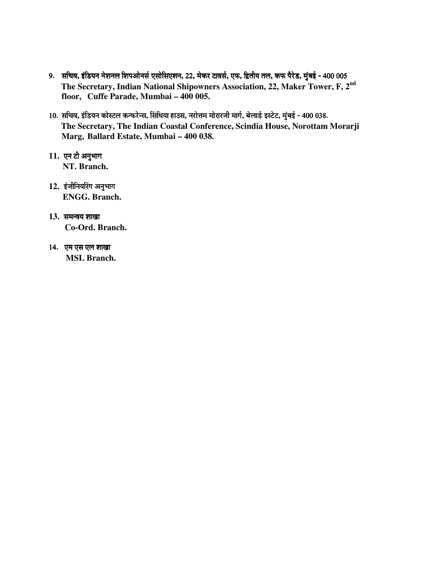- 9. सचिव, इंडियन नेशनल शिपओनर्स एसोसिएशन, 22, मेकर टावर्स, एफ, द्वितीय तल, कफ पैरेड, मुंबई 400 005 **The Secretary, Indian National Shipowners Association, 22, Maker Tower, F, 2nd floor, Cuffe Parade, Mumbai – 400 005.**
- 10. सचिव, इंडियन कोस्टल कन्फरेन्स, सिंधिया हाउस, नरोत्तम मोरारजी मार्ग, बेलार्ड इस्टेट, मुंबई 400 038. **The Secretary, The Indian Coastal Conference, Scindia House, Norottam Morarji Marg, Ballard Estate, Mumbai – 400 038.**
- 11. एन टी अनुभाग **NT. Branch.**
- 12. इंजीनियरिंग अनुभाग **ENGG. Branch.**
- 13. समन्वय शाखा **Co-Ord. Branch.**
- 14. एम एस एल शाखा  **MSL Branch.**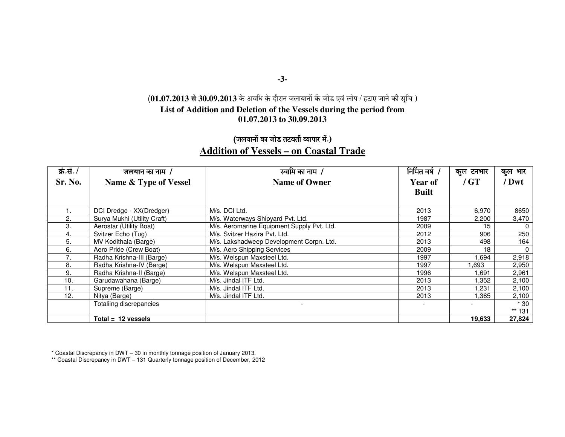#### **-3-**

#### **(01.07.2013 से 30.09.2013** के अवधि के दौरान जलायानों कें जोड एवं लोप / हटाए जाने की सूचि ) **List of Addition and Deletion of the Vessels during the period from 01.07.2013 to 30.09.2013**

### (जलयानों का जोड तटवर्ती व्यापार में.) **Addition of Vessels – on Coastal Trade**

| क्रं.सं. / | जलयान का नाम /              | स्वामि का नाम /                            | निर्मित वर्ष / | कुल टनभार | कुल भार  |
|------------|-----------------------------|--------------------------------------------|----------------|-----------|----------|
| Sr. No.    | Name & Type of Vessel       | <b>Name of Owner</b>                       | <b>Year of</b> | / GT      | / Dwt    |
|            |                             |                                            | <b>Built</b>   |           |          |
|            |                             |                                            |                |           |          |
|            | DCI Dredge - XX(Dredger)    | M/s. DCI Ltd.                              | 2013           | 6,970     | 8650     |
| 2.         | Surya Mukhi (Utility Craft) | M/s. Waterways Shipyard Pvt. Ltd.          | 1987           | 2,200     | 3,470    |
| 3.         | Aerostar (Utility Boat)     | M/s. Aeromarine Equipment Supply Pvt. Ltd. | 2009           | 15        | 0        |
| 4.         | Svitzer Echo (Tug)          | M/s. Svitzer Hazira Pvt. Ltd.              | 2012           | 906       | 250      |
| 5.         | MV Kodithala (Barge)        | M/s. Lakshadweep Development Corpn. Ltd.   | 2013           | 498       | 164      |
| 6.         | Aero Pride (Crew Boat)      | M/s. Aero Shipping Services                | 2009           | 18        | $\Omega$ |
| 7.         | Radha Krishna-III (Barge)   | M/s. Welspun Maxsteel Ltd.                 | 1997           | 1,694     | 2,918    |
| 8.         | Radha Krishna-IV (Barge)    | M/s. Welspun Maxsteel Ltd.                 | 1997           | .693      | 2,950    |
| 9.         | Radha Krishna-II (Barge)    | M/s. Welspun Maxsteel Ltd.                 | 1996           | 691. ا    | 2,961    |
| 10.        | Garudawahana (Barge)        | M/s. Jindal ITF Ltd.                       | 2013           | l,352     | 2,100    |
| 11.        | Supreme (Barge)             | M/s. Jindal ITF Ltd.                       | 2013           | 1,231     | 2,100    |
| 12.        | Nitya (Barge)               | M/s. Jindal ITF Ltd.                       | 2013           | 1.365     | 2,100    |
|            | Totaliing discrepancies     |                                            |                |           | $*30$    |
|            |                             |                                            |                |           | $** 131$ |
|            | Total = $12$ vessels        |                                            |                | 19.633    | 27,824   |

\* Coastal Discrepancy in DWT – 30 in monthly tonnage position of January 2013. \*\* Coastal Discrepancy in DWT – 131 Quarterly tonnage position of December, 2012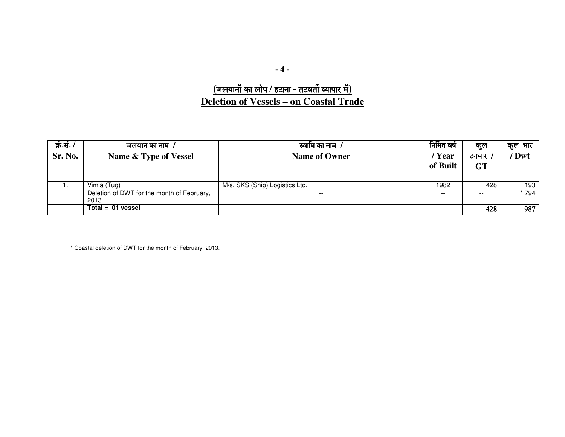### $\overline{6}$ लियानों का लोप / हटाना - तटवर्ती व्यापार में) **Deletion of Vessels – on Coastal Trade**

| क्रं.सं. $/$<br>Sr. No. | जलयान का नाम /<br>Name & Type of Vessel             | स्वामि का नाम <i>।</i><br><b>Name of Owner</b> | निर्मित वर्ष<br>'Year<br>of Built | कूल<br>टनभार<br><b>GT</b> | कुल भार<br>' Dwt |
|-------------------------|-----------------------------------------------------|------------------------------------------------|-----------------------------------|---------------------------|------------------|
|                         | Vimla (Tug)                                         | M/s. SKS (Ship) Logistics Ltd.                 | 1982                              | 428                       | 193              |
|                         | Deletion of DWT for the month of February,<br>2013. | $- -$                                          | $- -$                             | $- -$                     | * 794            |
|                         | $Total = 01$ vessel                                 |                                                |                                   | 428                       | 987              |

\* Coastal deletion of DWT for the month of February, 2013.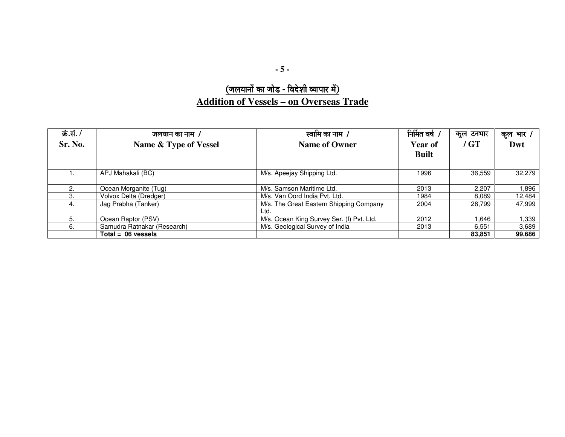## $\overline{(\overline{3} \overline{0} \overline{0})^2}$ **Addition of Vessels – on Overseas Trade**

| क्रं.सं./ | जलयान का नाम /              | स्वामि का नाम /                           | निर्मित वर्ष / | कुल टनभार | कुल भार / |
|-----------|-----------------------------|-------------------------------------------|----------------|-----------|-----------|
| Sr. No.   | Name & Type of Vessel       | <b>Name of Owner</b>                      | Year of        | $/$ GT    | Dwt       |
|           |                             |                                           | <b>Built</b>   |           |           |
|           |                             |                                           |                |           |           |
|           | APJ Mahakali (BC)           | M/s. Apeejay Shipping Ltd.                | 1996           | 36,559    | 32.279    |
|           |                             |                                           |                |           |           |
| 2.        | Ocean Morganite (Tug)       | M/s. Samson Maritime Ltd.                 | 2013           | 2.207     | 1,896     |
| 3.        | Volvox Delta (Dredger)      | M/s. Van Oord India Pvt. Ltd.             | 1984           | 8,089     | 12,484    |
| 4.        | Jag Prabha (Tanker)         | M/s. The Great Eastern Shipping Company   | 2004           | 28.799    | 47.999    |
|           |                             | Ltd.                                      |                |           |           |
| 5.        | Ocean Raptor (PSV)          | M/s. Ocean King Survey Ser. (I) Pvt. Ltd. | 2012           | 646. ا    | 339. ا    |
| 6.        | Samudra Ratnakar (Research) | M/s. Geological Survey of India           | 2013           | 6.551     | 3.689     |
|           | $Total = 06$ vessels        |                                           |                | 83.851    | 99,686    |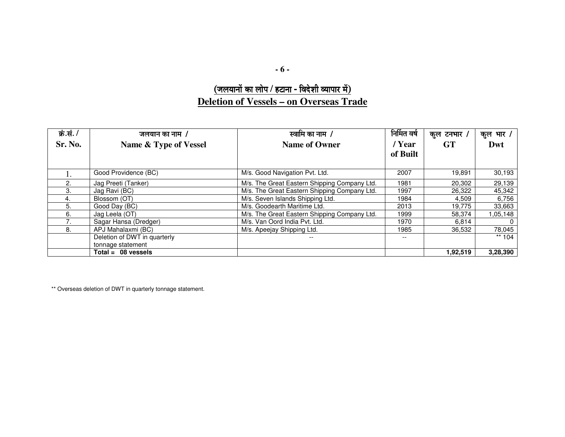**- 6 -** 

### $\overline{0}$  (जलयानों का लोप / हटाना - विदेशी व्यापार में) **Deletion of Vessels – on Overseas Trade**

| क्रं.सं. / | जलयान का नाम /               | स्वामि का नाम /                              | निर्मित वर्ष | कुल टनभार / | कुल भार / |
|------------|------------------------------|----------------------------------------------|--------------|-------------|-----------|
| Sr. No.    | Name & Type of Vessel        | <b>Name of Owner</b>                         | / Year       | <b>GT</b>   | Dwt       |
|            |                              |                                              | of Built     |             |           |
|            |                              |                                              |              |             |           |
| 1.         | Good Providence (BC)         | M/s. Good Navigation Pvt. Ltd.               | 2007         | 19,891      | 30,193    |
| 2.         | Jag Preeti (Tanker)          | M/s. The Great Eastern Shipping Company Ltd. | 1981         | 20,302      | 29,139    |
| 3.         | Jag Ravi (BC)                | M/s. The Great Eastern Shipping Company Ltd. | 1997         | 26,322      | 45,342    |
| 4.         | Blossom (OT)                 | M/s. Seven Islands Shipping Ltd.             | 1984         | 4,509       | 6,756     |
| 5.         | Good Day (BC)                | M/s. Goodearth Maritime Ltd.                 | 2013         | 19,775      | 33,663    |
| 6.         | Jag Leela (OT)               | M/s. The Great Eastern Shipping Company Ltd. | 1999         | 58,374      | 1,05,148  |
|            | Sagar Hansa (Dredger)        | M/s. Van Oord India Pvt. Ltd.                | 1970         | 6,814       | $\Omega$  |
| 8.         | APJ Mahalaxmi (BC)           | M/s. Apeejay Shipping Ltd.                   | 1985         | 36.532      | 78,045    |
|            | Deletion of DWT in quarterly |                                              |              |             | ** $104$  |
|            | tonnage statement            |                                              |              |             |           |
|            | $Total = 08$ vessels         |                                              |              | 1,92,519    | 3,28,390  |

\*\* Overseas deletion of DWT in quarterly tonnage statement.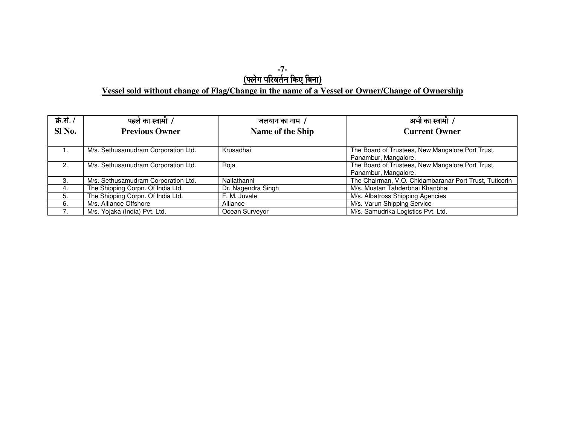# -7-<br><u>(फ्लेग परिवर्तन किए बिना)</u> Vessel sold without change of Flag/Change in the name of a Vessel or Owner/Change of Ownership

| क्रं.सं. / | पहले का स्वामी <i>।</i>             | जलयान का नाम 7     | अभी का स्वामी /                                        |
|------------|-------------------------------------|--------------------|--------------------------------------------------------|
| Sl No.     | <b>Previous Owner</b>               | Name of the Ship   | <b>Current Owner</b>                                   |
|            |                                     |                    |                                                        |
|            | M/s. Sethusamudram Corporation Ltd. | Krusadhai          | The Board of Trustees, New Mangalore Port Trust,       |
|            |                                     |                    | Panambur, Mangalore.                                   |
| 2.         | M/s. Sethusamudram Corporation Ltd. | Roja               | The Board of Trustees, New Mangalore Port Trust,       |
|            |                                     |                    | Panambur, Mangalore.                                   |
| 3.         | M/s. Sethusamudram Corporation Ltd. | Nallathanni        | The Chairman, V.O. Chidambaranar Port Trust, Tuticorin |
| 4.         | The Shipping Corpn. Of India Ltd.   | Dr. Nagendra Singh | M/s. Mustan Tahderbhai Khanbhai                        |
| 5.         | The Shipping Corpn. Of India Ltd.   | F. M. Juvale       | M/s. Albatross Shipping Agencies                       |
| 6.         | M/s. Alliance Offshore              | Alliance           | M/s. Varun Shipping Service                            |
|            | M/s. Yojaka (India) Pvt. Ltd.       | Ocean Surveyor     | M/s. Samudrika Logistics Pvt. Ltd.                     |